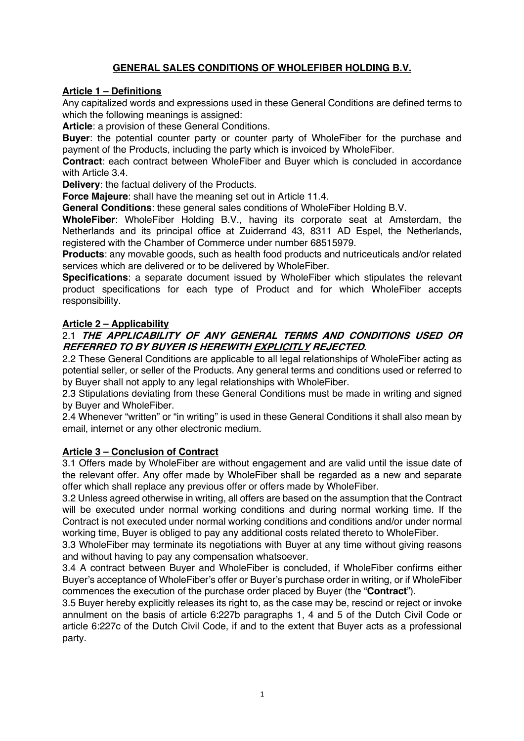# **GENERAL SALES CONDITIONS OF WHOLEFIBER HOLDING B.V.**

#### **Article 1 – Definitions**

Any capitalized words and expressions used in these General Conditions are defined terms to which the following meanings is assigned:

**Article**: a provision of these General Conditions.

**Buyer**: the potential counter party or counter party of WholeFiber for the purchase and payment of the Products, including the party which is invoiced by WholeFiber.

**Contract**: each contract between WholeFiber and Buyer which is concluded in accordance with Article 3.4.

**Delivery**: the factual delivery of the Products.

**Force Majeure**: shall have the meaning set out in Article 11.4.

**General Conditions**: these general sales conditions of WholeFiber Holding B.V.

**WholeFiber**: WholeFiber Holding B.V., having its corporate seat at Amsterdam, the Netherlands and its principal office at Zuiderrand 43, 8311 AD Espel, the Netherlands, registered with the Chamber of Commerce under number 68515979.

**Products**: any movable goods, such as health food products and nutriceuticals and/or related services which are delivered or to be delivered by WholeFiber.

**Specifications**: a separate document issued by WholeFiber which stipulates the relevant product specifications for each type of Product and for which WholeFiber accepts responsibility.

#### **Article 2 – Applicability**

### 2.1 **THE APPLICABILITY OF ANY GENERAL TERMS AND CONDITIONS USED OR REFERRED TO BY BUYER IS HEREWITH EXPLICITLY REJECTED.**

2.2 These General Conditions are applicable to all legal relationships of WholeFiber acting as potential seller, or seller of the Products. Any general terms and conditions used or referred to by Buyer shall not apply to any legal relationships with WholeFiber.

2.3 Stipulations deviating from these General Conditions must be made in writing and signed by Buyer and WholeFiber.

2.4 Whenever "written" or "in writing" is used in these General Conditions it shall also mean by email, internet or any other electronic medium.

#### **Article 3 – Conclusion of Contract**

3.1 Offers made by WholeFiber are without engagement and are valid until the issue date of the relevant offer. Any offer made by WholeFiber shall be regarded as a new and separate offer which shall replace any previous offer or offers made by WholeFiber.

3.2 Unless agreed otherwise in writing, all offers are based on the assumption that the Contract will be executed under normal working conditions and during normal working time. If the Contract is not executed under normal working conditions and conditions and/or under normal working time, Buyer is obliged to pay any additional costs related thereto to WholeFiber.

3.3 WholeFiber may terminate its negotiations with Buyer at any time without giving reasons and without having to pay any compensation whatsoever.

3.4 A contract between Buyer and WholeFiber is concluded, if WholeFiber confirms either Buyer's acceptance of WholeFiber's offer or Buyer's purchase order in writing, or if WholeFiber commences the execution of the purchase order placed by Buyer (the "**Contract**").

3.5 Buyer hereby explicitly releases its right to, as the case may be, rescind or reject or invoke annulment on the basis of article 6:227b paragraphs 1, 4 and 5 of the Dutch Civil Code or article 6:227c of the Dutch Civil Code, if and to the extent that Buyer acts as a professional party.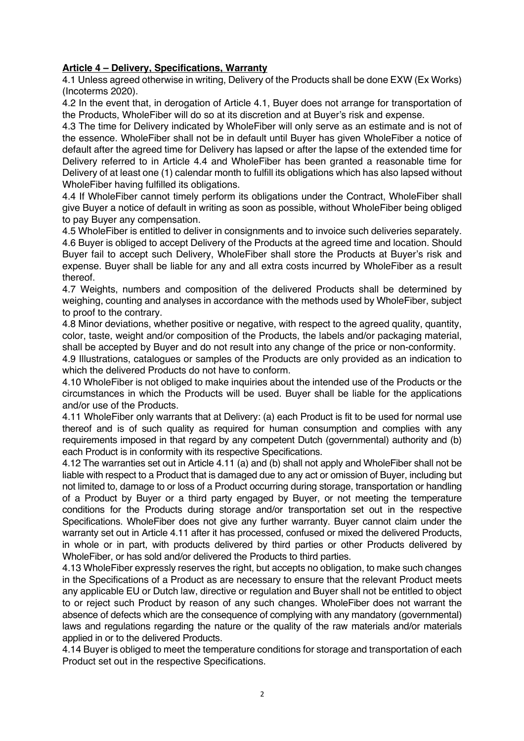### **Article 4 – Delivery, Specifications, Warranty**

4.1 Unless agreed otherwise in writing, Delivery of the Products shall be done EXW (Ex Works) (Incoterms 2020).

4.2 In the event that, in derogation of Article 4.1, Buyer does not arrange for transportation of the Products, WholeFiber will do so at its discretion and at Buyer's risk and expense.

4.3 The time for Delivery indicated by WholeFiber will only serve as an estimate and is not of the essence. WholeFiber shall not be in default until Buyer has given WholeFiber a notice of default after the agreed time for Delivery has lapsed or after the lapse of the extended time for Delivery referred to in Article 4.4 and WholeFiber has been granted a reasonable time for Delivery of at least one (1) calendar month to fulfill its obligations which has also lapsed without WholeFiber having fulfilled its obligations.

4.4 If WholeFiber cannot timely perform its obligations under the Contract, WholeFiber shall give Buyer a notice of default in writing as soon as possible, without WholeFiber being obliged to pay Buyer any compensation.

4.5 WholeFiber is entitled to deliver in consignments and to invoice such deliveries separately. 4.6 Buyer is obliged to accept Delivery of the Products at the agreed time and location. Should Buyer fail to accept such Delivery, WholeFiber shall store the Products at Buyer's risk and expense. Buyer shall be liable for any and all extra costs incurred by WholeFiber as a result thereof.

4.7 Weights, numbers and composition of the delivered Products shall be determined by weighing, counting and analyses in accordance with the methods used by WholeFiber, subject to proof to the contrary.

4.8 Minor deviations, whether positive or negative, with respect to the agreed quality, quantity, color, taste, weight and/or composition of the Products, the labels and/or packaging material, shall be accepted by Buyer and do not result into any change of the price or non-conformity.

4.9 Illustrations, catalogues or samples of the Products are only provided as an indication to which the delivered Products do not have to conform.

4.10 WholeFiber is not obliged to make inquiries about the intended use of the Products or the circumstances in which the Products will be used. Buyer shall be liable for the applications and/or use of the Products.

4.11 WholeFiber only warrants that at Delivery: (a) each Product is fit to be used for normal use thereof and is of such quality as required for human consumption and complies with any requirements imposed in that regard by any competent Dutch (governmental) authority and (b) each Product is in conformity with its respective Specifications.

4.12 The warranties set out in Article 4.11 (a) and (b) shall not apply and WholeFiber shall not be liable with respect to a Product that is damaged due to any act or omission of Buyer, including but not limited to, damage to or loss of a Product occurring during storage, transportation or handling of a Product by Buyer or a third party engaged by Buyer, or not meeting the temperature conditions for the Products during storage and/or transportation set out in the respective Specifications. WholeFiber does not give any further warranty. Buyer cannot claim under the warranty set out in Article 4.11 after it has processed, confused or mixed the delivered Products, in whole or in part, with products delivered by third parties or other Products delivered by WholeFiber, or has sold and/or delivered the Products to third parties.

4.13 WholeFiber expressly reserves the right, but accepts no obligation, to make such changes in the Specifications of a Product as are necessary to ensure that the relevant Product meets any applicable EU or Dutch law, directive or regulation and Buyer shall not be entitled to object to or reject such Product by reason of any such changes. WholeFiber does not warrant the absence of defects which are the consequence of complying with any mandatory (governmental) laws and regulations regarding the nature or the quality of the raw materials and/or materials applied in or to the delivered Products.

4.14 Buyer is obliged to meet the temperature conditions for storage and transportation of each Product set out in the respective Specifications.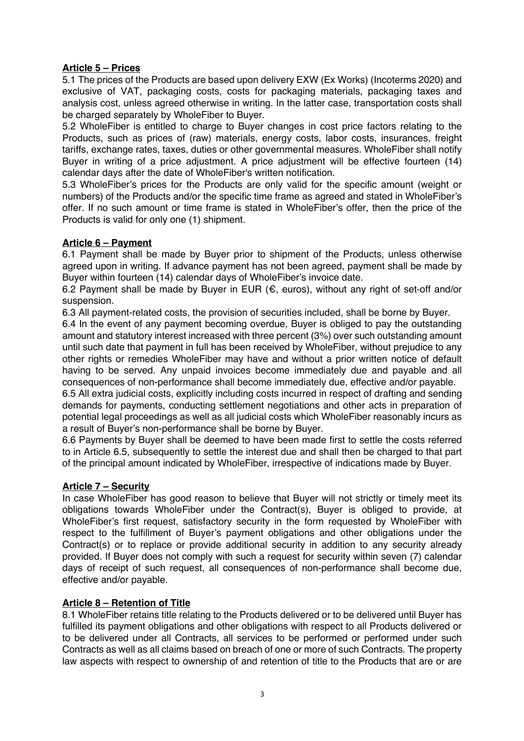### **Article 5 – Prices**

5.1 The prices of the Products are based upon delivery EXW (Ex Works) (Incoterms 2020) and exclusive of VAT, packaging costs, costs for packaging materials, packaging taxes and analysis cost, unless agreed otherwise in writing. In the latter case, transportation costs shall be charged separately by WholeFiber to Buyer.

5.2 WholeFiber is entitled to charge to Buyer changes in cost price factors relating to the Products, such as prices of (raw) materials, energy costs, labor costs, insurances, freight tariffs, exchange rates, taxes, duties or other governmental measures. WholeFiber shall notify Buyer in writing of a price adjustment. A price adjustment will be effective fourteen (14) calendar days after the date of WholeFiber's written notification.

5.3 WholeFiber's prices for the Products are only valid for the specific amount (weight or numbers) of the Products and/or the specific time frame as agreed and stated in WholeFiber's offer. If no such amount or time frame is stated in WholeFiber's offer, then the price of the Products is valid for only one (1) shipment.

## **Article 6 – Payment**

6.1 Payment shall be made by Buyer prior to shipment of the Products, unless otherwise agreed upon in writing. If advance payment has not been agreed, payment shall be made by Buyer within fourteen (14) calendar days of WholeFiber's invoice date.

6.2 Payment shall be made by Buyer in EUR (€, euros), without any right of set-off and/or suspension.

6.3 All payment-related costs, the provision of securities included, shall be borne by Buyer.

6.4 In the event of any payment becoming overdue, Buyer is obliged to pay the outstanding amount and statutory interest increased with three percent (3%) over such outstanding amount until such date that payment in full has been received by WholeFiber, without prejudice to any other rights or remedies WholeFiber may have and without a prior written notice of default having to be served. Any unpaid invoices become immediately due and payable and all consequences of non-performance shall become immediately due, effective and/or payable.

6.5 All extra judicial costs, explicitly including costs incurred in respect of drafting and sending demands for payments, conducting settlement negotiations and other acts in preparation of potential legal proceedings as well as all judicial costs which WholeFiber reasonably incurs as a result of Buyer's non-performance shall be borne by Buyer.

6.6 Payments by Buyer shall be deemed to have been made first to settle the costs referred to in Article 6.5, subsequently to settle the interest due and shall then be charged to that part of the principal amount indicated by WholeFiber, irrespective of indications made by Buyer.

# **Article 7 – Security**

In case WholeFiber has good reason to believe that Buyer will not strictly or timely meet its obligations towards WholeFiber under the Contract(s), Buyer is obliged to provide, at WholeFiber's first request, satisfactory security in the form requested by WholeFiber with respect to the fulfillment of Buyer's payment obligations and other obligations under the Contract(s) or to replace or provide additional security in addition to any security already provided. If Buyer does not comply with such a request for security within seven (7) calendar days of receipt of such request, all consequences of non-performance shall become due, effective and/or payable.

### **Article 8 – Retention of Title**

8.1 WholeFiber retains title relating to the Products delivered or to be delivered until Buyer has fulfilled its payment obligations and other obligations with respect to all Products delivered or to be delivered under all Contracts, all services to be performed or performed under such Contracts as well as all claims based on breach of one or more of such Contracts. The property law aspects with respect to ownership of and retention of title to the Products that are or are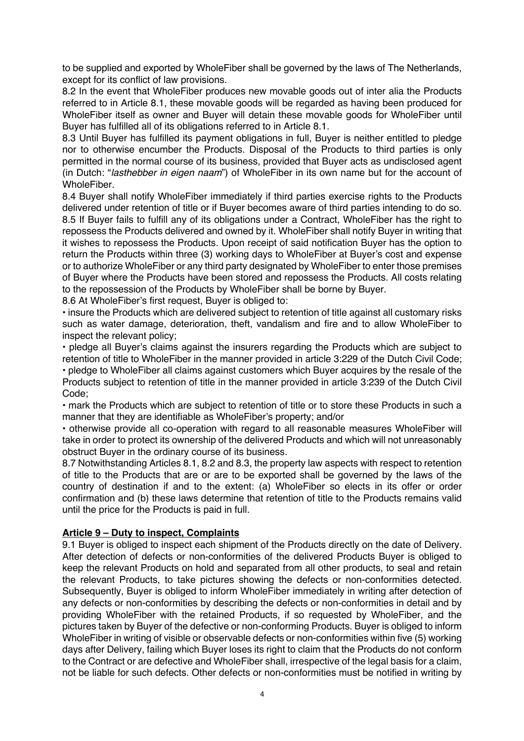to be supplied and exported by WholeFiber shall be governed by the laws of The Netherlands, except for its conflict of law provisions.

8.2 In the event that WholeFiber produces new movable goods out of inter alia the Products referred to in Article 8.1, these movable goods will be regarded as having been produced for WholeFiber itself as owner and Buyer will detain these movable goods for WholeFiber until Buyer has fulfilled all of its obligations referred to in Article 8.1.

8.3 Until Buyer has fulfilled its payment obligations in full, Buyer is neither entitled to pledge nor to otherwise encumber the Products. Disposal of the Products to third parties is only permitted in the normal course of its business, provided that Buyer acts as undisclosed agent (in Dutch: "*lasthebber in eigen naam*") of WholeFiber in its own name but for the account of WholeFiber.

8.4 Buyer shall notify WholeFiber immediately if third parties exercise rights to the Products delivered under retention of title or if Buyer becomes aware of third parties intending to do so. 8.5 If Buyer fails to fulfill any of its obligations under a Contract, WholeFiber has the right to repossess the Products delivered and owned by it. WholeFiber shall notify Buyer in writing that it wishes to repossess the Products. Upon receipt of said notification Buyer has the option to return the Products within three (3) working days to WholeFiber at Buyer's cost and expense or to authorize WholeFiber or any third party designated by WholeFiber to enter those premises of Buyer where the Products have been stored and repossess the Products. All costs relating to the repossession of the Products by WholeFiber shall be borne by Buyer.

8.6 At WholeFiber's first request, Buyer is obliged to:

• insure the Products which are delivered subject to retention of title against all customary risks such as water damage, deterioration, theft, vandalism and fire and to allow WholeFiber to inspect the relevant policy;

• pledge all Buyer's claims against the insurers regarding the Products which are subject to retention of title to WholeFiber in the manner provided in article 3:229 of the Dutch Civil Code; • pledge to WholeFiber all claims against customers which Buyer acquires by the resale of the

Products subject to retention of title in the manner provided in article 3:239 of the Dutch Civil Code;

• mark the Products which are subject to retention of title or to store these Products in such a manner that they are identifiable as WholeFiber's property; and/or

• otherwise provide all co-operation with regard to all reasonable measures WholeFiber will take in order to protect its ownership of the delivered Products and which will not unreasonably obstruct Buyer in the ordinary course of its business.

8.7 Notwithstanding Articles 8.1, 8.2 and 8.3, the property law aspects with respect to retention of title to the Products that are or are to be exported shall be governed by the laws of the country of destination if and to the extent: (a) WholeFiber so elects in its offer or order confirmation and (b) these laws determine that retention of title to the Products remains valid until the price for the Products is paid in full.

### **Article 9 – Duty to inspect, Complaints**

9.1 Buyer is obliged to inspect each shipment of the Products directly on the date of Delivery. After detection of defects or non-conformities of the delivered Products Buyer is obliged to keep the relevant Products on hold and separated from all other products, to seal and retain the relevant Products, to take pictures showing the defects or non-conformities detected. Subsequently, Buyer is obliged to inform WholeFiber immediately in writing after detection of any defects or non-conformities by describing the defects or non-conformities in detail and by providing WholeFiber with the retained Products, if so requested by WholeFiber, and the pictures taken by Buyer of the defective or non-conforming Products. Buyer is obliged to inform WholeFiber in writing of visible or observable defects or non-conformities within five (5) working days after Delivery, failing which Buyer loses its right to claim that the Products do not conform to the Contract or are defective and WholeFiber shall, irrespective of the legal basis for a claim, not be liable for such defects. Other defects or non-conformities must be notified in writing by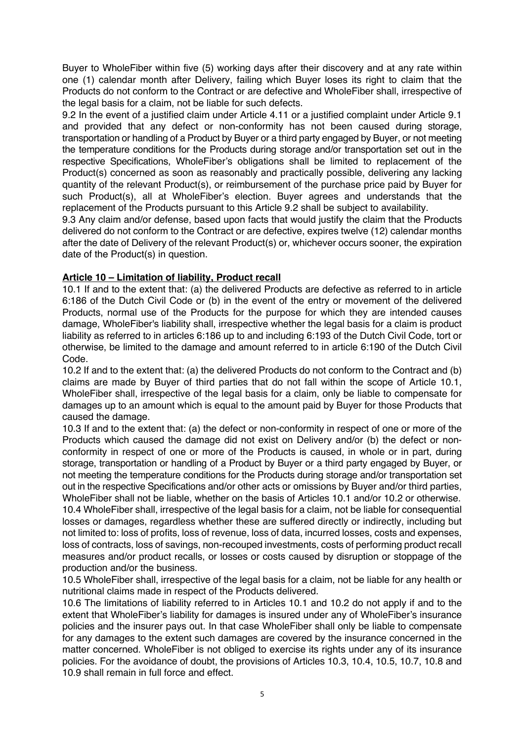Buyer to WholeFiber within five (5) working days after their discovery and at any rate within one (1) calendar month after Delivery, failing which Buyer loses its right to claim that the Products do not conform to the Contract or are defective and WholeFiber shall, irrespective of the legal basis for a claim, not be liable for such defects.

9.2 In the event of a justified claim under Article 4.11 or a justified complaint under Article 9.1 and provided that any defect or non-conformity has not been caused during storage, transportation or handling of a Product by Buyer or a third party engaged by Buyer, or not meeting the temperature conditions for the Products during storage and/or transportation set out in the respective Specifications, WholeFiber's obligations shall be limited to replacement of the Product(s) concerned as soon as reasonably and practically possible, delivering any lacking quantity of the relevant Product(s), or reimbursement of the purchase price paid by Buyer for such Product(s), all at WholeFiber's election. Buyer agrees and understands that the replacement of the Products pursuant to this Article 9.2 shall be subject to availability.

9.3 Any claim and/or defense, based upon facts that would justify the claim that the Products delivered do not conform to the Contract or are defective, expires twelve (12) calendar months after the date of Delivery of the relevant Product(s) or, whichever occurs sooner, the expiration date of the Product(s) in question.

## **Article 10 – Limitation of liability, Product recall**

10.1 If and to the extent that: (a) the delivered Products are defective as referred to in article 6:186 of the Dutch Civil Code or (b) in the event of the entry or movement of the delivered Products, normal use of the Products for the purpose for which they are intended causes damage, WholeFiber's liability shall, irrespective whether the legal basis for a claim is product liability as referred to in articles 6:186 up to and including 6:193 of the Dutch Civil Code, tort or otherwise, be limited to the damage and amount referred to in article 6:190 of the Dutch Civil Code.

10.2 If and to the extent that: (a) the delivered Products do not conform to the Contract and (b) claims are made by Buyer of third parties that do not fall within the scope of Article 10.1, WholeFiber shall, irrespective of the legal basis for a claim, only be liable to compensate for damages up to an amount which is equal to the amount paid by Buyer for those Products that caused the damage.

10.3 If and to the extent that: (a) the defect or non-conformity in respect of one or more of the Products which caused the damage did not exist on Delivery and/or (b) the defect or nonconformity in respect of one or more of the Products is caused, in whole or in part, during storage, transportation or handling of a Product by Buyer or a third party engaged by Buyer, or not meeting the temperature conditions for the Products during storage and/or transportation set out in the respective Specifications and/or other acts or omissions by Buyer and/or third parties, WholeFiber shall not be liable, whether on the basis of Articles 10.1 and/or 10.2 or otherwise. 10.4 WholeFiber shall, irrespective of the legal basis for a claim, not be liable for consequential losses or damages, regardless whether these are suffered directly or indirectly, including but not limited to: loss of profits, loss of revenue, loss of data, incurred losses, costs and expenses, loss of contracts, loss of savings, non-recouped investments, costs of performing product recall measures and/or product recalls, or losses or costs caused by disruption or stoppage of the production and/or the business.

10.5 WholeFiber shall, irrespective of the legal basis for a claim, not be liable for any health or nutritional claims made in respect of the Products delivered.

10.6 The limitations of liability referred to in Articles 10.1 and 10.2 do not apply if and to the extent that WholeFiber's liability for damages is insured under any of WholeFiber's insurance policies and the insurer pays out. In that case WholeFiber shall only be liable to compensate for any damages to the extent such damages are covered by the insurance concerned in the matter concerned. WholeFiber is not obliged to exercise its rights under any of its insurance policies. For the avoidance of doubt, the provisions of Articles 10.3, 10.4, 10.5, 10.7, 10.8 and 10.9 shall remain in full force and effect.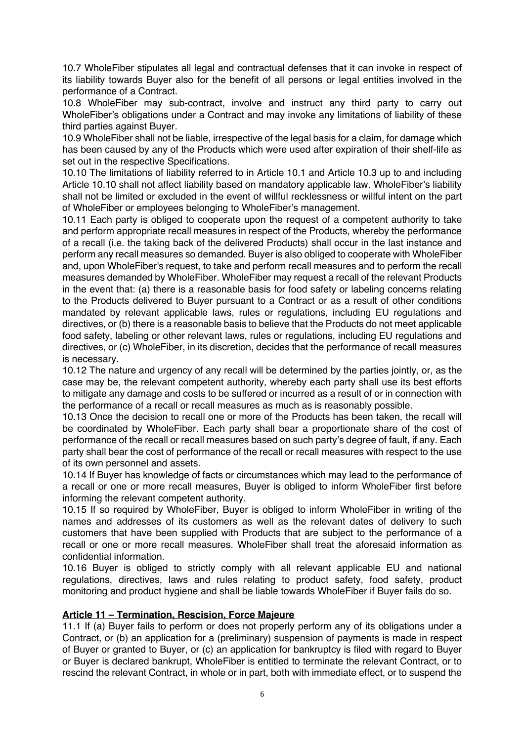10.7 WholeFiber stipulates all legal and contractual defenses that it can invoke in respect of its liability towards Buyer also for the benefit of all persons or legal entities involved in the performance of a Contract.

10.8 WholeFiber may sub-contract, involve and instruct any third party to carry out WholeFiber's obligations under a Contract and may invoke any limitations of liability of these third parties against Buyer.

10.9 WholeFiber shall not be liable, irrespective of the legal basis for a claim, for damage which has been caused by any of the Products which were used after expiration of their shelf-life as set out in the respective Specifications.

10.10 The limitations of liability referred to in Article 10.1 and Article 10.3 up to and including Article 10.10 shall not affect liability based on mandatory applicable law. WholeFiber's liability shall not be limited or excluded in the event of willful recklessness or willful intent on the part of WholeFiber or employees belonging to WholeFiber's management.

10.11 Each party is obliged to cooperate upon the request of a competent authority to take and perform appropriate recall measures in respect of the Products, whereby the performance of a recall (i.e. the taking back of the delivered Products) shall occur in the last instance and perform any recall measures so demanded. Buyer is also obliged to cooperate with WholeFiber and, upon WholeFiber's request, to take and perform recall measures and to perform the recall measures demanded by WholeFiber. WholeFiber may request a recall of the relevant Products in the event that: (a) there is a reasonable basis for food safety or labeling concerns relating to the Products delivered to Buyer pursuant to a Contract or as a result of other conditions mandated by relevant applicable laws, rules or regulations, including EU regulations and directives, or (b) there is a reasonable basis to believe that the Products do not meet applicable food safety, labeling or other relevant laws, rules or regulations, including EU regulations and directives, or (c) WholeFiber, in its discretion, decides that the performance of recall measures is necessary.

10.12 The nature and urgency of any recall will be determined by the parties jointly, or, as the case may be, the relevant competent authority, whereby each party shall use its best efforts to mitigate any damage and costs to be suffered or incurred as a result of or in connection with the performance of a recall or recall measures as much as is reasonably possible.

10.13 Once the decision to recall one or more of the Products has been taken, the recall will be coordinated by WholeFiber. Each party shall bear a proportionate share of the cost of performance of the recall or recall measures based on such party's degree of fault, if any. Each party shall bear the cost of performance of the recall or recall measures with respect to the use of its own personnel and assets.

10.14 If Buyer has knowledge of facts or circumstances which may lead to the performance of a recall or one or more recall measures, Buyer is obliged to inform WholeFiber first before informing the relevant competent authority.

10.15 If so required by WholeFiber, Buyer is obliged to inform WholeFiber in writing of the names and addresses of its customers as well as the relevant dates of delivery to such customers that have been supplied with Products that are subject to the performance of a recall or one or more recall measures. WholeFiber shall treat the aforesaid information as confidential information.

10.16 Buyer is obliged to strictly comply with all relevant applicable EU and national regulations, directives, laws and rules relating to product safety, food safety, product monitoring and product hygiene and shall be liable towards WholeFiber if Buyer fails do so.

### **Article 11 – Termination, Rescision, Force Majeure**

11.1 If (a) Buyer fails to perform or does not properly perform any of its obligations under a Contract, or (b) an application for a (preliminary) suspension of payments is made in respect of Buyer or granted to Buyer, or (c) an application for bankruptcy is filed with regard to Buyer or Buyer is declared bankrupt, WholeFiber is entitled to terminate the relevant Contract, or to rescind the relevant Contract, in whole or in part, both with immediate effect, or to suspend the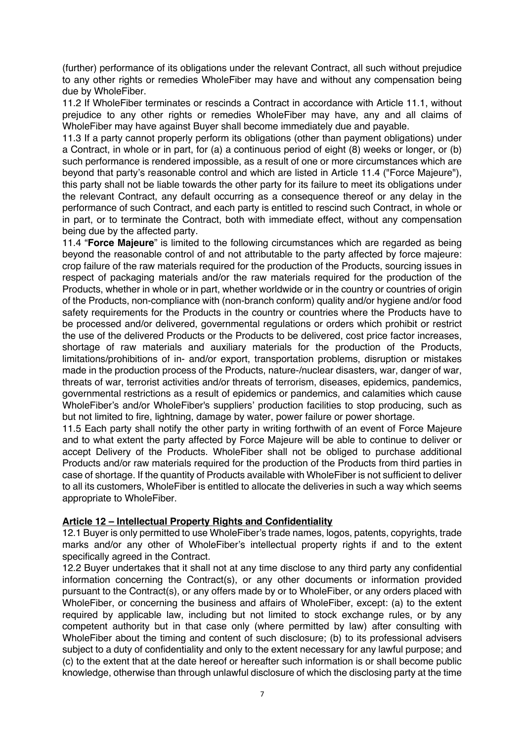(further) performance of its obligations under the relevant Contract, all such without prejudice to any other rights or remedies WholeFiber may have and without any compensation being due by WholeFiber.

11.2 If WholeFiber terminates or rescinds a Contract in accordance with Article 11.1, without prejudice to any other rights or remedies WholeFiber may have, any and all claims of WholeFiber may have against Buyer shall become immediately due and payable.

11.3 If a party cannot properly perform its obligations (other than payment obligations) under a Contract, in whole or in part, for (a) a continuous period of eight (8) weeks or longer, or (b) such performance is rendered impossible, as a result of one or more circumstances which are beyond that party's reasonable control and which are listed in Article 11.4 ("Force Majeure"), this party shall not be liable towards the other party for its failure to meet its obligations under the relevant Contract, any default occurring as a consequence thereof or any delay in the performance of such Contract, and each party is entitled to rescind such Contract, in whole or in part, or to terminate the Contract, both with immediate effect, without any compensation being due by the affected party.

11.4 "**Force Majeure**" is limited to the following circumstances which are regarded as being beyond the reasonable control of and not attributable to the party affected by force majeure: crop failure of the raw materials required for the production of the Products, sourcing issues in respect of packaging materials and/or the raw materials required for the production of the Products, whether in whole or in part, whether worldwide or in the country or countries of origin of the Products, non-compliance with (non-branch conform) quality and/or hygiene and/or food safety requirements for the Products in the country or countries where the Products have to be processed and/or delivered, governmental regulations or orders which prohibit or restrict the use of the delivered Products or the Products to be delivered, cost price factor increases, shortage of raw materials and auxiliary materials for the production of the Products, limitations/prohibitions of in- and/or export, transportation problems, disruption or mistakes made in the production process of the Products, nature-/nuclear disasters, war, danger of war, threats of war, terrorist activities and/or threats of terrorism, diseases, epidemics, pandemics, governmental restrictions as a result of epidemics or pandemics, and calamities which cause WholeFiber's and/or WholeFiber's suppliers' production facilities to stop producing, such as but not limited to fire, lightning, damage by water, power failure or power shortage.

11.5 Each party shall notify the other party in writing forthwith of an event of Force Majeure and to what extent the party affected by Force Majeure will be able to continue to deliver or accept Delivery of the Products. WholeFiber shall not be obliged to purchase additional Products and/or raw materials required for the production of the Products from third parties in case of shortage. If the quantity of Products available with WholeFiber is not sufficient to deliver to all its customers, WholeFiber is entitled to allocate the deliveries in such a way which seems appropriate to WholeFiber.

### **Article 12 – Intellectual Property Rights and Confidentiality**

12.1 Buyer is only permitted to use WholeFiber's trade names, logos, patents, copyrights, trade marks and/or any other of WholeFiber's intellectual property rights if and to the extent specifically agreed in the Contract.

12.2 Buyer undertakes that it shall not at any time disclose to any third party any confidential information concerning the Contract(s), or any other documents or information provided pursuant to the Contract(s), or any offers made by or to WholeFiber, or any orders placed with WholeFiber, or concerning the business and affairs of WholeFiber, except: (a) to the extent required by applicable law, including but not limited to stock exchange rules, or by any competent authority but in that case only (where permitted by law) after consulting with WholeFiber about the timing and content of such disclosure; (b) to its professional advisers subject to a duty of confidentiality and only to the extent necessary for any lawful purpose; and (c) to the extent that at the date hereof or hereafter such information is or shall become public knowledge, otherwise than through unlawful disclosure of which the disclosing party at the time